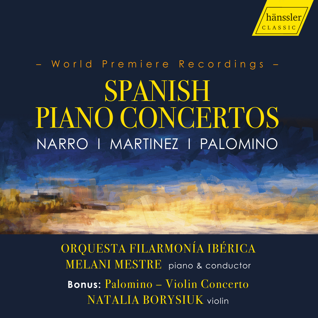

# – World Premiere Recordings – SPANISH PIANO CONCERTOS NARRO I MARTINEZ I PALOMINO

ORQUESTA FILARMONÍA IBÉRICA MELANI MESTRE piano & conductor **Bonus:** Palomino – Violin Concerto NATALIA BORYSIUK violin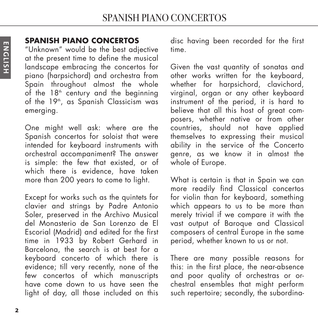# **SPANISH PIANO CONCERTOS**

"Unknown" would be the best adjective at the present time to define the musical landscape embracing the concertos for piano (harpsichord) and orchestra from Spain throughout almost the whole of the  $18<sup>th</sup>$  century and the beginning of the 19<sup>th</sup>, as Spanish Classicism was emerging.

One might well ask: where are the Spanish concertos for soloist that were intended for keyboard instruments with orchestral accompaniment? The answer is simple: the few that existed, or of which there is evidence, have taken more than 200 years to come to light.

Except for works such as the quintets for clavier and strings by Padre Antonio Soler, preserved in the Archivo Musical del Monasterio de San Lorenzo de El Escorial (Madrid) and edited for the first time in 1933 by Robert Gerhard in Barcelona, the search is at best for a keyboard concerto of which there is evidence; till very recently, none of the few concertos of which manuscripts have come down to us have seen the light of day, all those included on this disc having been recorded for the first time.

Given the vast quantity of sonatas and other works written for the keyboard, whether for harpsichord, clavichord, virginal, organ or any other keyboard instrument of the period, it is hard to believe that all this host of great composers, whether native or from other countries, should not have applied themselves to expressing their musical ability in the service of the Concerto genre, as we know it in almost the whole of Europe.

What is certain is that in Spain we can more readily find Classical concertos for violin than for keyboard, something which appears to us to be more than merely trivial if we compare it with the vast output of Baroque and Classical composers of central Europe in the same period, whether known to us or not.

There are many possible reasons for this: in the first place, the near-absence and poor quality of orchestras or orchestral ensembles that might perform such repertoire; secondly, the subordina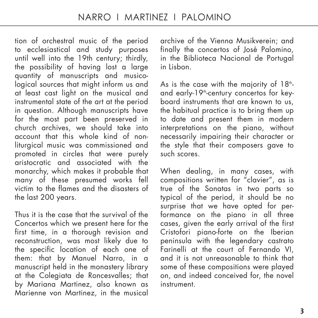tion of orchestral music of the period to ecclesiastical and study purposes until well into the 19th century; thirdly, the possibility of having lost a large quantity of manuscripts and musicological sources that might inform us and at least cast light on the musical and instrumental state of the art at the period in question. Although manuscripts have for the most part been preserved in church archives, we should take into account that this whole kind of nonliturgical music was commissioned and promoted in circles that were purely aristocratic and associated with the monarchy, which makes it probable that many of these presumed works fell victim to the flames and the disasters of the last 200 years.

Thus it is the case that the survival of the Concertos which we present here for the first time, in a thorough revision and reconstruction, was most likely due to the specific location of each one of them: that by Manuel Narro, in a manuscript held in the monastery library at the Colegiata de Roncesvalles; that by Mariana Martinez, also known as Marienne von Martinez, in the musical archive of the Vienna Musikverein; and finally the concertos of José Palomino, in the Biblioteca Nacional de Portugal in Lisbon.

As is the case with the majority of  $18<sup>th</sup>$ and early-19<sup>th</sup>-century concertos for keyboard instruments that are known to us, the habitual practice is to bring them up to date and present them in modern interpretations on the piano, without necessarily impairing their character or the style that their composers gave to such scores.

When dealing, in many cases, with compositions written for "clavier", as is true of the Sonatas in two parts so typical of the period, it should be no surprise that we have opted for performance on the piano in all three cases, given the early arrival of the first Cristofori piano-forte on the Iberian peninsula with the legendary castrato Farinelli at the court of Fernando VI, and it is not unreasonable to think that some of these compositions were played on, and indeed conceived for, the novel instrument.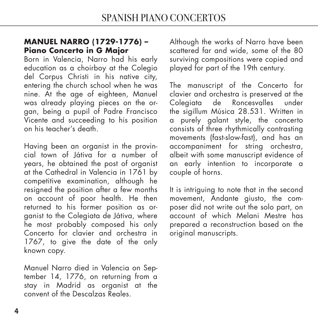### **MANUEL NARRO (1729-1776) – Piano Concerto in G Major**

Born in Valencia, Narro had his early education as a choirboy at the Colegio del Corpus Christi in his native city, entering the church school when he was nine. At the age of eighteen, Manuel was already playing pieces on the organ, being a pupil of Padre Francisco Vicente and succeeding to his position on his teacher's death.

Having been an organist in the provincial town of Játiva for a number of years, he obtained the post of organist at the Cathedral in Valencia in 1761 by competitive examination, although he resigned the position after a few months on account of poor health. He then returned to his former position as organist to the Colegiata de Játiva, where he most probably composed his only Concerto for clavier and orchestra in 1767, to give the date of the only known copy.

Manuel Narro died in Valencia on September 14, 1776, on returning from a stay in Madrid as organist at the convent of the Descalzas Reales.

Although the works of Narro have been scattered far and wide, some of the 80 surviving compositions were copied and played for part of the 19th century.

The manuscript of the Concerto for clavier and orchestra is preserved at the<br>Colegiata de Roncesvalles under de Roncesvalles the sigillum Música 28.531. Written in a purely galant style, the concerto consists of three rhythmically contrasting movements (fast-slow-fast), and has an accompaniment for string orchestra, albeit with some manuscript evidence of an early intention to incorporate a couple of horns.

It is intriguing to note that in the second movement, Andante giusto, the composer did not write out the solo part, on account of which Melani Mestre has prepared a reconstruction based on the original manuscripts.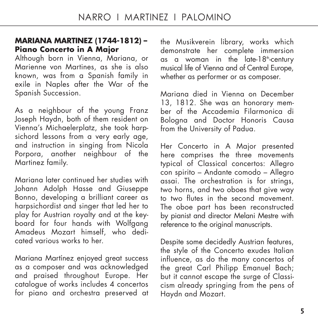#### **MARIANA MARTINEZ (1744-1812) – Piano Concerto in A Major**

Although born in Vienna, Mariana, or Marienne von Martines, as she is also known, was from a Spanish family in exile in Naples after the War of the Spanish Succession.

As a neighbour of the young Franz Joseph Haydn, both of them resident on Vienna's Michaelerplatz, she took harpsichord lessons from a very early age, and instruction in singing from Nicola Porpora, another neighbour of the Martinez family.

Mariana later continued her studies with Johann Adolph Hasse and Giuseppe Bonno, developing a brilliant career as harpsichordist and singer that led her to play for Austrian royalty and at the keyboard for four hands with Wolfgang Amadeus Mozart himself, who dedicated various works to her.

Mariana Martínez enjoyed great success as a composer and was acknowledged and praised throughout Europe. Her catalogue of works includes 4 concertos for piano and orchestra preserved at the Musikverein library, works which demonstrate her complete immersion as a woman in the late-18<sup>th</sup>-century musical life of Vienna and of Central Europe, whether as performer or as composer.

Mariana died in Vienna on December 13, 1812. She was an honorary member of the Accademia Filarmonica di Bologna and Doctor Honoris Causa from the University of Padua.

Her Concerto in A Major presented here comprises the three movements typical of Classical concertos: Allegro con spirito – Andante comodo – Allegro assai. The orchestration is for strings, two horns, and two oboes that aive way to two flutes in the second movement. The oboe part has been reconstructed by pianist and director Melani Mestre with reference to the original manuscripts.

Despite some decidedly Austrian features, the style of the Concerto exudes Italian influence, as do the many concertos of the great Carl Philipp Emanuel Bach; but it cannot escape the surge of Classicism already springing from the pens of Haydn and Mozart.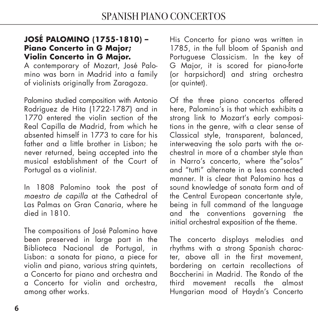# **JOSÉ PALOMINO (1755-1810) – Piano Concerto in G Major; Violin Concerto in G Major.**

A contemporary of Mozart, José Palomino was born in Madrid into a family of violinists originally from Zaragoza.

Palomino studied composition with Antonio Rodríguez de Hita (1722-1787) and in 1770 entered the violin section of the Real Capilla de Madrid, from which he absented himself in 1773 to care for his father and a little brother in Lisbon; he never returned, being accepted into the musical establishment of the Court of Portugal as a violinist.

In 1808 Palomino took the post of maestro de capilla at the Cathedral of Las Palmas on Gran Canaria, where he died in 1810.

The compositions of José Palomino have been preserved in large part in the Biblioteca Nacional de Portugal, in Lisbon: a sonata for piano, a piece for violin and piano, various string quintets, a Concerto for piano and orchestra and a Concerto for violin and orchestra, among other works.

His Concerto for piano was written in 1785, in the full bloom of Spanish and Portuguese Classicism. In the key of G Major, it is scored for piano-forte (or harpsichord) and string orchestra (or quintet).

Of the three piano concertos offered here, Palomino's is that which exhibits a strong link to Mozart's early compositions in the genre, with a clear sense of Classical style, transparent, balanced, interweaving the solo parts with the orchestral in more of a chamber style than in Narro's concerto, where the"solos" and "tutti" alternate in a less connected manner. It is clear that Palomino has a sound knowledge of sonata form and of the Central European concertante style, being in full command of the language and the conventions governing the initial orchestral exposition of the theme.

The concerto displays melodies and rhythms with a strong Spanish character, above all in the first movement, bordering on certain recollections of Boccherini in Madrid. The Rondo of the third movement recalls the almost Hungarian mood of Haydn's Concerto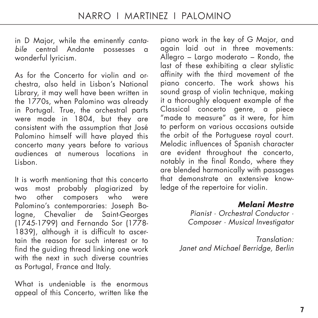in D Major, while the eminently cantabile central Andante possesses a wonderful lyricism.

As for the Concerto for violin and orchestra, also held in Lisbon's National Library, it may well have been written in the 1770s, when Palomino was already in Portugal. True, the orchestral parts were made in 1804, but they are consistent with the assumption that José Palomino himself will have played this concerto many years before to various audiences at numerous locations in Lisbon.

It is worth mentioning that this concerto was most probably plagiarized by two other composers who were Palomino's contemporaries: Joseph Bologne, Chevalier de Saint-Georges (1745-1799) and Fernando Sor (1778- 1839), although it is difficult to ascertain the reason for such interest or to find the guiding thread linking one work with the next in such diverse countries as Portugal, France and Italy.

What is undeniable is the enormous appeal of this Concerto, written like the piano work in the key of G Major, and again laid out in three movements: Allegro – Largo moderato – Rondo, the last of these exhibiting a clear stylistic affinity with the third movement of the piano concerto. The work shows his sound arasp of violin technique, making it a thoroughly eloquent example of the Classical concerto genre, a piece "made to measure" as it were, for him to perform on various occasions outside the orbit of the Portuguese royal court. Melodic influences of Spanish character are evident throughout the concerto, notably in the final Rondo, where they are blended harmonically with passages that demonstrate an extensive knowledge of the repertoire for violin.

> **Melani Mestre**  Pianist · Orchestral Conductor · Composer · Musical Investigator

Translation: Janet and Michael Berridge, Berlin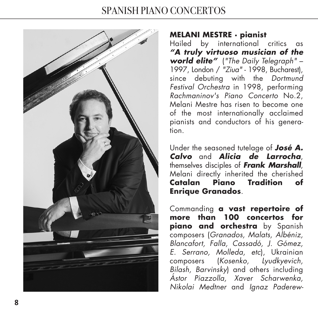# SPANISH PIANO CONCERTOS



# **MELANI MESTRE · pianist**

Hailed by international critics as **"A truly virtuoso musician of the world elite"** ("The Daily Telegraph" – 1997, London / "Ziua" - 1998, Bucharest), since debuting with the Dortmund Festival Orchestra in 1998, performing Rachmaninov's Piano Concerto No.2, Melani Mestre has risen to become one of the most internationally acclaimed pianists and conductors of his generation.

Under the seasoned tutelage of **José A. Calvo** and **Alicia de Larrocha**, themselves disciples of **Frank Marshall**, Melani directly inherited the cherished **Catalan Piano Tradition of Enrique Granados**.

Commanding **a vast repertoire of more than 100 concertos for piano and orchestra** by Spanish composers (Granados, Malats, Albéniz, Blancafort, Falla, Cassadó, J. Gómez, E. Serrano, Molleda, etc), Ukrainian composers (Kosenko, Lyudkyevich, Bilash, Barvinsky) and others including Ástor Piazzolla, Xaver Scharwenka, Nikolai Medtner and Ignaz Paderew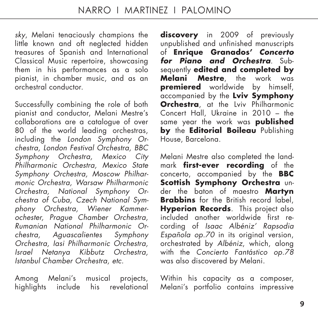sky, Melani tenaciously champions the little known and oft neglected hidden treasures of Spanish and International Classical Music repertoire, showcasing them in his performances as a solo pianist, in chamber music, and as an orchestral conductor.

Successfully combining the role of both pianist and conductor, Melani Mestre's collaborations are a catalogue of over 80 of the world leading orchestras, including the London Symphony Orchestra, London Festival Orchestra, BBC Symphony Orchestra, Mexico City Philharmonic Orchestra, Mexico State Symphony Orchestra, Moscow Philharmonic Orchestra, Warsaw Philharmonic Orchestra, National Symphony Orchestra of Cuba, Czech National Symphony Orchestra, Wiener Kammerochester, Prague Chamber Orchestra, Rumanian National Philharmonic Orchestra, Aguascalientes Symphony Orchestra, Iasi Philharmonic Orchestra, Israel Netanya Kibbutz Orchestra, Istanbul Chamber Orchestra, etc.

Among Melani's musical projects, highlights include his revelational

**discovery** in 2009 of previously unpublished and unfinished manuscripts of **Enrique Granados' Concerto for Piano and Orchestra**. Subsequently **edited and completed by Melani Mestre**, the work was **premiered** worldwide by himself, accompanied by the **Lviv Symphony Orchestra**, at the Lviv Philharmonic Concert Hall, Ukraine in 2010 – the same year the work was **published by** the **Editorial Boileau** Publishing House, Barcelona.

Melani Mestre also completed the landmark **first-ever recording** of the concerto, accompanied by the **BBC Scottish Symphony Orchestra** under the baton of maestro **Martyn Brabbins** for the British record label. **Hyperion Records**. This project also included another worldwide first recording of Isaac Albéniz' Rapsodia Española op.70 in its original version, orchestrated by Albéniz, which, along with the Concierto Fantástico op.78 was also discovered by Melani.

Within his capacity as a composer, Melani's portfolio contains impressive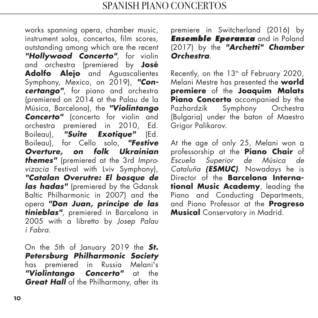works spanning opera, chamber music, instrument solos, concertos, film scores, outstanding among which are the recent **"Hollywood Concerto"**, for violin and orchestra (premiered by **José Adolfo Alejo** and Aguascalientes Symphony, Mexico, on 2019), **"Concertango"**, for piano and orchestra (premiered on 2014 at the Palau de la Música, Barcelona), the **"Violintango Concerto"** (concerto for violin and orchestra premiered in 2010, Ed. Boileau), **"Suite Exotique"** (Ed. Boileau), for Cello solo, **"Festive Overture, on folk Ukrainian themes"** (premiered at the 3rd Improvizacia Festival with Lviv Symphony), **"Catalan Overutre: El bosque de las hadas"** (premiered by the Gdansk Baltic Philharmonic in 2007) and the opera **"Don Juan, príncipe de las tinieblas"**, premiered in Barcelona in 2005 with a libretto by Josep Palau i Fabra.

On the 5th of January 2019 the **St. Petersburg Philharmonic Society** has premiered in Russia Melani's **"Violintango Concerto"** at the **Great Hall** of the Philharmony, after its

premiere in Switcherland (2016) by *Ensemble Eperanza* and in Poland (2017) by the **"Archetti" Chamber Orchestra**.

Recently, on the  $13<sup>th</sup>$  of February 2020, Melani Mestre has presented the **world premiere** of the **Joaquim Malats Piano Concerto** accompanied by the<br>Pazhardzik Symphony Orchestra Symphony Orchestra (Bulgaria) under the baton of Maestro Grigor Palikarov.

At the age of only 25, Melani won a professorship at the **Piano Chair** of Escuela Superior de Música de Cataluña **(ESMUC)**. Nowadays he is Director of the **Barcelona International Music Academy**, leading the Piano and Conducting Departments, and Piano Professor at the **Progreso Musical** Conservatory in Madrid.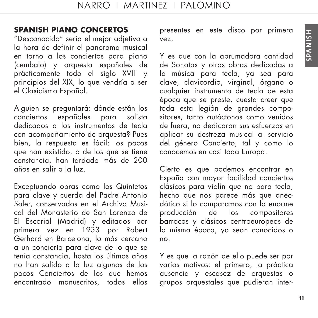# **SPANISH PIANO CONCERTOS**

"Desconocido" sería el mejor adjetivo a la hora de definir el panorama musical en torno a los conciertos para piano (cembalo) y orquesta españoles de prácticamente todo el siglo XVIII y principios del XIX, lo que vendría a ser el Clasicismo Español.

Alguien se preguntará: dónde están los conciertos españoles para solista dedicados a los instrumentos de tecla con acompañamiento de orquesta? Pues bien, la respuesta es fácil: los pocos que han existido, o de los que se tiene constancia, han tardado más de 200 años en salir a la luz.

Exceptuando obras como los Quintetos para clave y cuerda del Padre Antonio Soler, conservados en el Archivo Musical del Monasterio de San Lorenzo de El Escorial (Madrid) y editados por primera vez en 1933 por Robert Gerhard en Barcelona, lo más cercano a un concierto para clave de lo que se tenía constancia, hasta los últimos años no han salido a la luz algunos de los pocos Conciertos de los que hemos encontrado manuscritos, todos ellos

presentes en este disco por primera vez.

Y es que con la abrumadora cantidad de Sonatas y otras obras dedicadas a la música para tecla, ya sea para clave, clavicordio, virginal, órgano o cualquier instrumento de tecla de esta época que se preste, cuesta creer que toda esta legión de grandes compositores, tanto autóctonos como venidos de fuera, no dedicaran sus esfuerzos en aplicar su destreza musical al servicio del género Concierto, tal y como lo conocemos en casi toda Europa.

Cierto es que podemos encontrar en España con mayor facilidad conciertos clásicos para violín que no para tecla, hecho que nos parece más que anecdótico si lo comparamos con la enorme<br>producción de los compositores de los compositores barrocos y clásicos centroeuropeos de la misma época, ya sean conocidos o no.

Y es que la razón de ello puede ser por varios motivos: el primero, la pràctica ausencia y escasez de orquestas o grupos orquestales que pudieran inter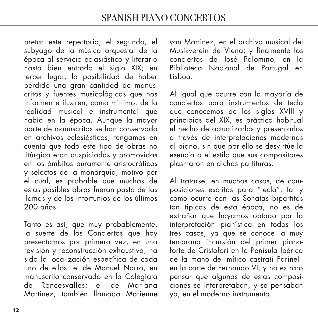pretar este repertorio; el segundo, el subyago de la música orquestal de la época al servicio eclasiástico y literario hasta bien entrado el siglo XIX; en tercer lugar, la posibilidad de haber perdido una gran cantidad de manuscritos y fuentes musicológicas que nos informen e ilustren, como mínimo, de la realidad musical e instrumental que había en la época. Aunque la mayor parte de manuscritos se han conservado en archivos eclesiásticos, tengamos en cuenta que todo este tipo de obras no litúrgica eran auspiciadas y promovidas en los ámbitos puramente aristocráticos y selectos de la monarquía, motivo por el cual, es probable que muchas de estas posibles obras fueran pasto de las llamas y de los infortunios de los últimos 200 años.

Tanto es así, que muy probablemente, la suerte de los Conciertos que hoy presentamos por primera vez, en una revisión y reconstrucción exhaustiva, ha sido la localización específica de cada uno de ellos: el de Manuel Narro, en manuscrito conservado en la Colegiata de Roncesvalles; el de Mariana Martinez, también llamada Marienne

von Martinez, en el archivo musical del Musikverein de Viena; y finalmente los conciertos de José Palomino, en la Biblioteca Nacional de Portugal en Lisboa.

Al igual que ocurre con la mayoría de conciertos para instrumentos de tecla que conocemos de los siglos XVIII y principios del XIX, es pràctica habitual el hecho de actualizarlos y presentarlos a través de interpretaciones modernas al piano, sin que por ello se desvirtúe la esencia o el estilo que sus compositores plasmaron en dichas partituras.

Al tratarse, en muchos casos, de composiciones escritas para "tecla", tal y como ocurre con las Sonatas bipartitas tan típicas de esta época, no es de extrañar que hayamos optado por la interpretación pianística en todos los tres casos, ya que se conoce la muy temprana incursión del primer pianoforte de Cristofori en la Penísula Ibérica de la mano del mítico castrati Farinelli en la corte de Fernando VI, y no es raro pensar que algunas de estas composiciones se interpretaban, y se pensaban ya, en el moderno instrumento.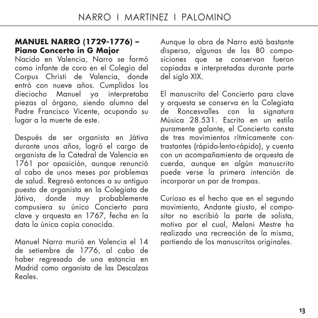### **MANUEL NARRO (1729-1776) – Piano Concerto in G Major**

Nacido en Valencia, Narro se formó como infante de coro en el Colegio del Corpus Christi de Valencia, donde entró con nueve años. Cumplidos los dieciocho Manuel ya interpretaba piezas al órgano, siendo alumno del Padre Francisco Vicente, ocupando su lugar a la muerte de este.

Después de ser organista en Játiva durante unos años, logró el cargo de organista de la Catedral de Valencia en 1761 por oposición, aunque renunció al cabo de unos meses por problemas de salud. Regresó entonces a su antiguo puesto de organista en la Colegiata de Játiva, donde muy probablemente compusiera su único Concierto para clave y orquesta en 1767, fecha en la data la única copia conocida.

Manuel Narro murió en Valencia el 14 de setiembre de 1776, al cabo de haber regresado de una estancia en Madrid como organista de las Descalzas Reales.

Aunque la obra de Narro está bastante dispersa, algunas de las 80 composiciones que se conservan fueron copiadas e interpretadas durante parte del siglo XIX.

El manuscrito del Concierto para clave y orquesta se conserva en la Colegiata .<br>Roncesvalles con la Música 28.531. Escrito en un estilo puramente galante, el Concierto consta de tres movimientos rítmicamente contrastantes (rápido-lento-rápido), y cuenta con un acompañamiento de orquesta de cuerda, aunque en algún manuscrito puede verse la primera intención de incorporar un par de trompas.

Curioso es el hecho que en el segundo movimiento, Andante giusto, el compositor no escribió la parte de solista, motivo por el cual, Melani Mestre ha realizado una recreación de la misma, partiendo de los manuscritos originales.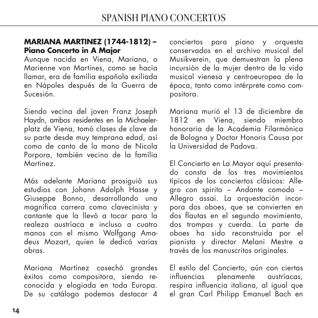## **MARIANA MARTINEZ (1744-1812) – Piano Concerto in A Major**

Aunque nacida en Viena, Mariana, o Marienne von Martines, como se hacía llamar, era de família española exiliada en Nápoles después de la Guerra de Sucesión.

Siendo vecina del joven Franz Joseph Haydn, ambos residentes en la Michaelerplatz de Viena, tomó clases de clave de su parte desde muy temprana edad, así como de canto de la mano de Nicola Porpora, también vecino de la família Martinez.

Más adelante Mariana prosiguió sus estudios con Johann Adolph Hasse y Giuseppe Bonno, desarrollando una magnífica carrera como clavecinista y cantante que la llevó a tocar para la realeza austríaca e incluso a cuatro manos con el mismo Wolfgang Amadeus Mozart, quien le dedicó varias obras.

Mariana Martínez cosechó grandes éxitos como compositora, siendo reconocida y elogiada en toda Europa. De su catálogo podemos destacar 4

conciertos para piano y orquesta conservados en el archivo musical del Musikverein, que demuestran la plena incursión de la mujer dentro de la vida musical vienesa y centroeuropea de la época, tanto como intérprete como compositora.

Mariana murió el 13 de diciembre de 1812 en Viena, siendo miembro honoraria de la Academia Filarmónica de Bologna y Doctor Honoris Causa por la Universidad de Padova.

El Concierto en La Mayor aquí presentado consta de los tres movimientos típicos de los conciertos clásicos: Allegro con spirito – Andante comodo – Allegro assai. La orquestación incorpora dos oboes, que se convierten en dos flautas en el segundo movimiento, dos trompas y cuerda. La parte de oboes ha sido reconstruida por el pianista y director Melani Mestre a través de los manuscritos originales.

El estilo del Concierto, aún con ciertas influencias plenamente austríacas, respira influencia italiana, al igual que el gran Carl Philipp Emanuel Bach en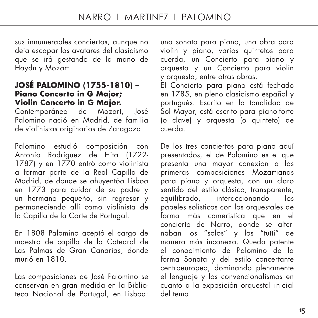sus innumerables conciertos, aunque no deja escapar los avatares del clasicismo que se irá gestando de la mano de Haydn y Mozart.

#### **JOSÉ PALOMINO (1755-1810) – Piano Concerto in G Major; Violin Concerto in G Major.**

Contemporáneo de Mozart, José Palomino nació en Madrid, de familia de violinistas originarios de Zaragoza.

Palomino estudió composición con Antonio Rodríguez de Hita (1722- 1787) y en 1770 entró como violinista a formar parte de la Real Capilla de Madrid, de donde se ahuyentóa Lisboa en 1773 para cuidar de su padre y un hermano pequeño, sin regresar y permaneciendo allí como violinista de la Capilla de la Corte de Portugal.

En 1808 Palomino aceptó el cargo de maestro de capilla de la Catedral de Las Palmas de Gran Canarias, donde murió en 1810.

Las composiciones de José Palomino se conservan en gran medida en la Biblioteca Nacional de Portugal, en Lisboa: una sonata para piano, una obra para violín y piano, varios quintetos para cuerda, un Concierto para piano y orquesta y un Concierto para violín y orquesta, entre otras obras.

El Concierto para piano está fechado en 1785, en pleno clasicismo español y portugués. Escrito en la tonalidad de Sol Mayor, está escrito para piano-forte (o clave) y orquesta (o quinteto) de cuerda.

De los tres conciertos para piano aquí presentados, el de Palomino es el que presenta una mayor conexion a las primeras composiciones Mozartianas para piano y orquesta, con un claro sentido del estilo clásico, transparente, equilibrado, interaccionando los papeles solísticos con los orquestales de forma más camerística que en el concierto de Narro, donde se alternaban los "solos" y los "tutti" de manera más inconexa. Queda patente el conocimiento de Palomino de la forma Sonata y del estilo concertante centroeuropeo, dominando plenamente el lenguaje y los convencionalismos en cuanto a la exposición orquestal inicial del tema.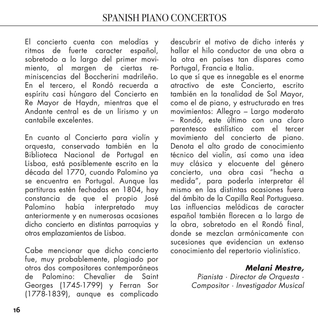El concierto cuenta con melodías y ritmos de fuerte caracter español, sobretodo a lo largo del primer movimiento, al margen de ciertas reminiscencias del Boccherini madrileño. En el tercero, el Rondó recuerda a espíritu casi húngaro del Concierto en Re Mayor de Haydn, mientras que el Andante central es de un lirismo y un cantabile excelentes.

En cuanto al Concierto para violín y orquesta, conservado también en la Biblioteca Nacional de Portugal en Lisboa, está posiblemente escrito en la década del 1770, cuando Palomino ya se encuentra en Portugal. Aunque las partituras estén fechadas en 1804, hay constancia de que el propio José Palomino había interpretado muy anteriormente y en numerosas ocasiones dicho concierto en distintas parroquias y otros emplazamientos de Lisboa.

Cabe mencionar que dicho concierto fue, muy probablemente, plagiado por otros dos compositores contemporáneos de Palomino: Chevalier de Saint Georges (1745-1799) y Ferran Sor (1778-1839), aunque es complicado

descubrir el motivo de dicho interés y hallar el hilo conductor de una obra a la otra en países tan dispares como Portugal, Francia e Italia.

Lo que sí que es innegable es el enorme atractivo de este Concierto, escrito también en la tonalidad de Sol Mayor, como el de piano, y estructurado en tres movimientos: Allegro – Largo moderato – Rondó, este último con una claro parentesco estilístico com el tercer movimiento del concierto de piano. Denota el alto grado de conocimiento técnico del violín, así como una idea muy clásica y elocuente del género concierto, una obra casi "hecha a medida", para poderla interpretar él mismo en las distintas ocasiones fuera del ámbito de la Capilla Real Portuguesa. Las influencias melódicas de caracter español también florecen a lo largo de la obra, sobretodo en el Rondó final, donde se mezclan armónicamente con sucesiones que evidencian un extenso conocimiento del repertorio violinístico.

# **Melani Mestre,**

Pianista · Director de Orquesta · Compositor · Investigador Musical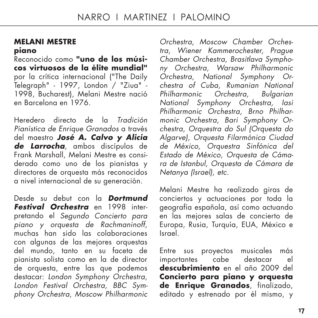### **MELANI MESTRE piano**

Reconocido como **"uno de los músicos virtuosos de la élite mundial"** por la crítica internacional ("The Daily Telegraph" - 1997, London / "Ziua" - 1998, Bucharest), Melani Mestre nació en Barcelona en 1976.

Heredero directo de la Tradición Pianística de Enrique Granados a través del maestro **José A. Calvo y Alicia de Larrocha**, ambos discípulos de Frank Marshall, Melani Mestre es considerado como uno de los pianistas y directores de orquesta más reconocidos a nivel internacional de su generación.

Desde su debut con la **Dortmund Festival Orchestra** en 1998 interpretando el Segundo Concierto para <sup>p</sup>iano y orquesta de Rachmaninoff, muchas han sido las colaboraciones con algunas de las mejores orquestas del mundo, tanto en su faceta de pianista solista como en la de director de orquesta, entre las que podemos destacar: London Symphony Orchestra, London Festival Orchestra, BBC Sym<sup>p</sup>hony Orchestra, Moscow Philharmonic

Orchestra, Moscow Chamber Orchestra, Wiener Kammerochester, Prague Chamber Orchestra, Brasitlava Symphony Orchestra, Warsaw Philharmonic Orchestra, National Symphony Orchestra of Cuba, Rumanian National Philharmonic Orchestra, Bulgarian National Symphony Orchestra, Iasi Philharmonic Orchestra, Brno Philharmonic Orchestra, Bari Symphony Orchestra, Orquestra do Sul (Orquesta do Algarve), Orquesta Filarmónica Ciudad de México, Orquestra Sinfónica del Estado de México, Orquesta de Cámara de Istanbul, Orquesta de Cámara de Netanya (Israel), etc.

Melani Mestre ha realizado giras de conciertos y actuaciones por toda la geografía española, así como actuando en las mejores salas de concierto de Europa, Rusia, Turquía, EUA, México e Israel.

Entre sus proyectos musicales más importantes cabe destacar el **descubrimiento** en el año 2009 del **Concierto para piano y orquesta de Enrique Granados**, finalizado, editado y estrenado por él mismo, y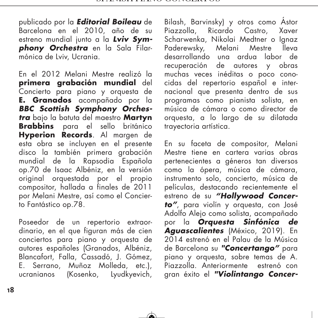∱

publicado por la **Editorial Boileau** de Barcelona en el 2010, año de su estreno mundial junto a la **Lviv Symphony Orchestra** en la Sala Filarmónica de Lviv, Ucrania.

En el 2012 Melani Mestre realizó la **primera grabación mundial** del Concierto para piano y orquesta de **E. Granados** acompañado por la **BBC Scottish Symphony Orchestra** bajo la batuta del maestro **Martyn Brabbins** para el sello británico **Hyperion Records**. Al margen de esta obra se incluyen en el presente disco la también primera grabación mundial de la Rapsodia Española op.70 de Isaac Albéniz, en la versión original orquestada por el propio compositor, hallada a finales de 2011 por Melani Mestre, así como el Concierto Fantástico op.78.

Poseedor de un repertorio extraordinario, en el que figuran más de cien conciertos para piano y orquesta de autores españoles (Granados, Albéniz, Blancafort, Falla, Cassadó, J. Gómez, E. Serrano, Muñoz Molleda, etc.), ucranianos (Kosenko, Lyudkyevich, Bilash, Barvinsky) y otros como Ástor Ricardo Castro, Xaver Scharwenka, Nikolai Medtner o Ignaz Paderewsky, Melani Mestre lleva desarrollando una ardua labor de recuperación de autores y obras muchas veces inéditas o poco conocidas del repertorio español e internacional que presenta dentro de sus programas como pianista solista, en música de cámara o como director de orquesta, a lo largo de su dilatada trayectoria artística.

En su faceta de compositor, Melani Mestre tiene en cartera varias obras pertenecientes a géneros tan diversos como la ópera, música de cámara, instrumento solo, concierto, música de películas, destacando recientemente el estreno de su **"Hollywood Concerto"**, para violín y orquesta, con José Adolfo Alejo como solista, acompañado por la **Orquesta Sinfónica de Aguascalientes** (México, 2019). En 2014 estrenó en el Palau de la Música de Barcelona su **"Concertango"** para piano y orquesta, sobre temas de A. Piazzolla. Anteriormente estrenó con gran éxito el **"Violintango Concer-**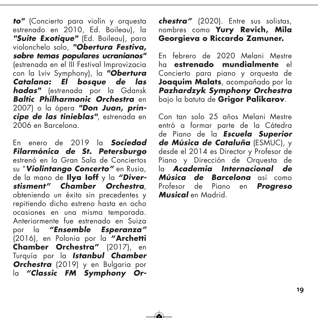**to"** (Concierto para violín y orquesta estrenado en 2010, Ed. Boileau), la **"Suite Exotique"** (Ed. Boileau), para violonchelo solo, **"Obertura Festiva, sobre temas populares ucranianos"** (estrenada en el III Festival Improvizacia con la Lviv Symphony), la **"Obertura Catalana: El bosque de las hadas"** (estrenada por la Gdansk **Baltic Philharmonic Orchestra** en 2007) o la ópera **"Don Juan, príncipe de las tinieblas"**, estrenada en 2006 en Barcelona.

En enero de 2019 la **Sociedad Filarmónica de St. Petersburgo** estrenó en la Gran Sala de Conciertos su "**Violintango Concerto"** en Rusia, de la mano de **Ilya Ioff** y la **"Diverstisment" Chamber Orchestra**, obteniendo un éxito sin precedentes y repitiendo dicho estreno hasta en ocho ocasiones en una misma temporada. Anteriormente fue estrenado en Suiza por la **"Ensemble Esperanza"** (2016), en Polonia por la **"Archetti Chamber Orchestra"** (2017), en Turquía por la **Istanbul Chamber Orchestra** (2019) y en Bulgaria por la **"Classic FM Symphony Or-**

ਂ

**chestra"** (2020). Entre sus solistas, nombres como **Yury Revich, Mila Georgieva o Riccardo Zamuner.** 

En febrero de 2020 Melani Mestre ha **estrenado mundialmente** el Concierto para piano y orquesta de **Joaquim Malats**, acompañado por la **Pazhardzyk Symphony Orchestra** bajo la batuta de **Grigor Palikarov**.

Con tan solo 25 años Melani Mestre entró a formar parte de la Cátedra de Piano de la **Escuela Superior de Música de Cataluña** (ESMUC), y desde el 2014 es Director y Profesor de Piano y Dirección de Orquesta de la **Academia Internacional de Música de Barcelona** así como Profesor de Piano en **Progreso Musical** en Madrid.